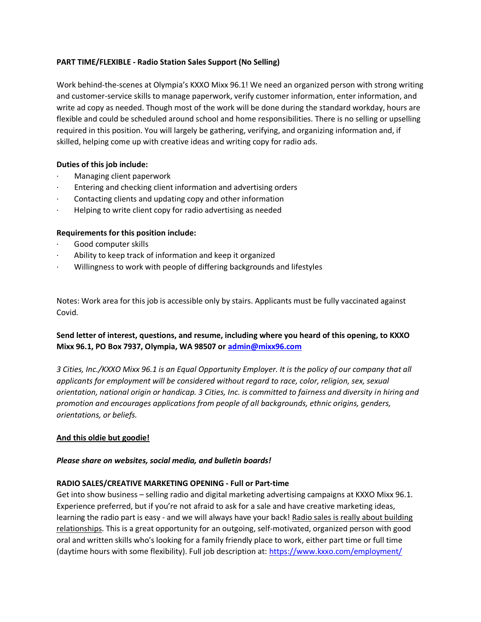# **PART TIME/FLEXIBLE - Radio Station Sales Support (No Selling)**

Work behind-the-scenes at Olympia's KXXO Mixx 96.1! We need an organized person with strong writing and customer-service skills to manage paperwork, verify customer information, enter information, and write ad copy as needed. Though most of the work will be done during the standard workday, hours are flexible and could be scheduled around school and home responsibilities. There is no selling or upselling required in this position. You will largely be gathering, verifying, and organizing information and, if skilled, helping come up with creative ideas and writing copy for radio ads.

# **Duties of this job include:**

- · Managing client paperwork
- Entering and checking client information and advertising orders
- Contacting clients and updating copy and other information
- Helping to write client copy for radio advertising as needed

## **Requirements for this position include:**

- Good computer skills
- Ability to keep track of information and keep it organized
- · Willingness to work with people of differing backgrounds and lifestyles

Notes: Work area for this job is accessible only by stairs. Applicants must be fully vaccinated against Covid.

# **Send letter of interest, questions, and resume, including where you heard of this opening, to KXXO Mixx 96.1, PO Box 7937, Olympia, WA 98507 or [admin@mixx96.com](mailto:admin@mixx96.com)**

*3 Cities, Inc./KXXO Mixx 96.1 is an Equal Opportunity Employer. It is the policy of our company that all applicants for employment will be considered without regard to race, color, religion, sex, sexual orientation, national origin or handicap. 3 Cities, Inc. is committed to fairness and diversity in hiring and promotion and encourages applications from people of all backgrounds, ethnic origins, genders, orientations, or beliefs.*

## **And this oldie but goodie!**

## *Please share on websites, social media, and bulletin boards!*

## **RADIO SALES/CREATIVE MARKETING OPENING - Full or Part-time**

Get into show business – selling radio and digital marketing advertising campaigns at KXXO Mixx 96.1. Experience preferred, but if you're not afraid to ask for a sale and have creative marketing ideas, learning the radio part is easy - and we will always have your back! Radio sales is really about building relationships. This is a great opportunity for an outgoing, self-motivated, organized person with good oral and written skills who's looking for a family friendly place to work, either part time or full time (daytime hours with some flexibility). Full job description at:<https://www.kxxo.com/employment/>